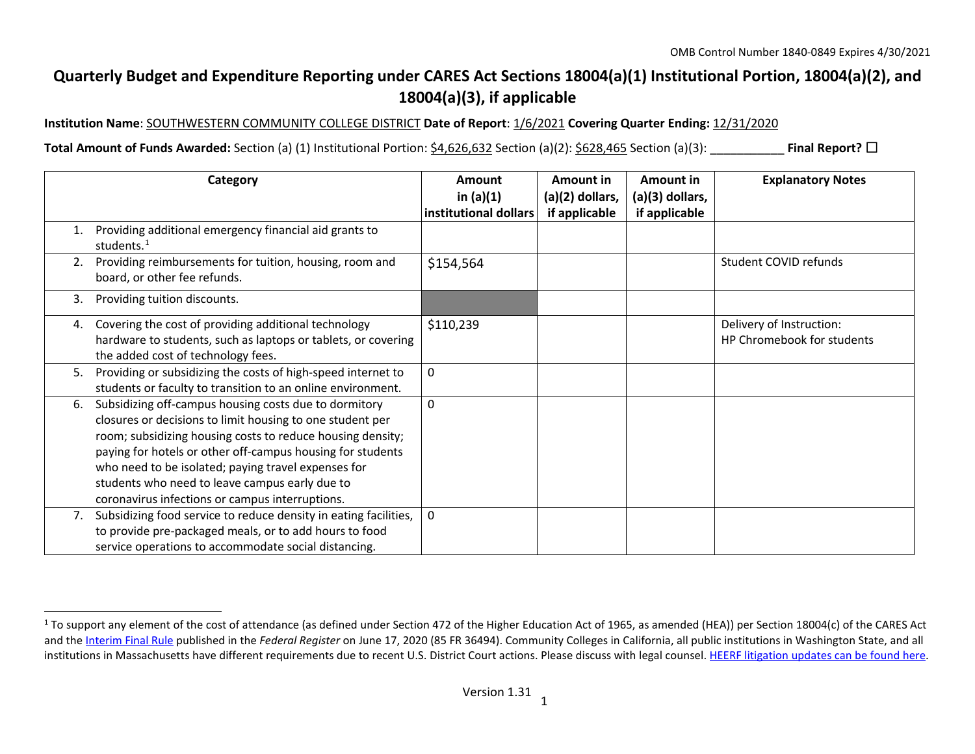## <span id="page-0-0"></span>**Quarterly Budget and Expenditure Reporting under CARES Act Sections 18004(a)(1) Institutional Portion, 18004(a)(2), and 18004(a)(3), if applicable**

**Institution Name**: SOUTHWESTERN COMMUNITY COLLEGE DISTRICT **Date of Report**: 1/6/2021 **Covering Quarter Ending:** 12/31/2020

**Total Amount of Funds Awarded:** Section (a) (1) Institutional Portion: \$4,626,632 Section (a)(2): \$628,465 Section (a)(3): \_\_\_\_\_\_\_\_\_\_\_ **Final Report?** ☐

|    | Category                                                                                                                                                                                                                                                                                                                                                                                                   | Amount<br>in $(a)(1)$<br>institutional dollars | Amount in<br>$(a)(2)$ dollars,<br>if applicable | Amount in<br>(a)(3) dollars,<br>if applicable | <b>Explanatory Notes</b>                               |
|----|------------------------------------------------------------------------------------------------------------------------------------------------------------------------------------------------------------------------------------------------------------------------------------------------------------------------------------------------------------------------------------------------------------|------------------------------------------------|-------------------------------------------------|-----------------------------------------------|--------------------------------------------------------|
|    | Providing additional emergency financial aid grants to<br>students. <sup>1</sup>                                                                                                                                                                                                                                                                                                                           |                                                |                                                 |                                               |                                                        |
| 2. | Providing reimbursements for tuition, housing, room and<br>board, or other fee refunds.                                                                                                                                                                                                                                                                                                                    | \$154,564                                      |                                                 |                                               | Student COVID refunds                                  |
| 3. | Providing tuition discounts.                                                                                                                                                                                                                                                                                                                                                                               |                                                |                                                 |                                               |                                                        |
| 4. | Covering the cost of providing additional technology<br>hardware to students, such as laptops or tablets, or covering<br>the added cost of technology fees.                                                                                                                                                                                                                                                | \$110,239                                      |                                                 |                                               | Delivery of Instruction:<br>HP Chromebook for students |
| 5. | Providing or subsidizing the costs of high-speed internet to<br>students or faculty to transition to an online environment.                                                                                                                                                                                                                                                                                | 0                                              |                                                 |                                               |                                                        |
| 6. | Subsidizing off-campus housing costs due to dormitory<br>closures or decisions to limit housing to one student per<br>room; subsidizing housing costs to reduce housing density;<br>paying for hotels or other off-campus housing for students<br>who need to be isolated; paying travel expenses for<br>students who need to leave campus early due to<br>coronavirus infections or campus interruptions. | $\mathbf{0}$                                   |                                                 |                                               |                                                        |
| 7. | Subsidizing food service to reduce density in eating facilities,<br>to provide pre-packaged meals, or to add hours to food<br>service operations to accommodate social distancing.                                                                                                                                                                                                                         | 0                                              |                                                 |                                               |                                                        |

 $1$  To support any element of the cost of attendance (as defined under Section 472 of the Higher Education Act of 1965, as amended (HEA)) per Section 18004(c) of the CARES Act and th[e Interim Final Rule](https://www.federalregister.gov/documents/2020/06/17/2020-12965/eligibility-of-students-at-institutions-of-higher-education-for-funds-under-the-coronavirus-aid) published in the *Federal Register* on June 17, 2020 (85 FR 36494). Community Colleges in California, all public institutions in Washington State, and all institutions in Massachusetts have different requirements due to recent U.S. District Court actions. Please discuss with legal counsel[. HEERF litigation updates can be found here.](https://www2.ed.gov/about/offices/list/ope/heerfupdates.html)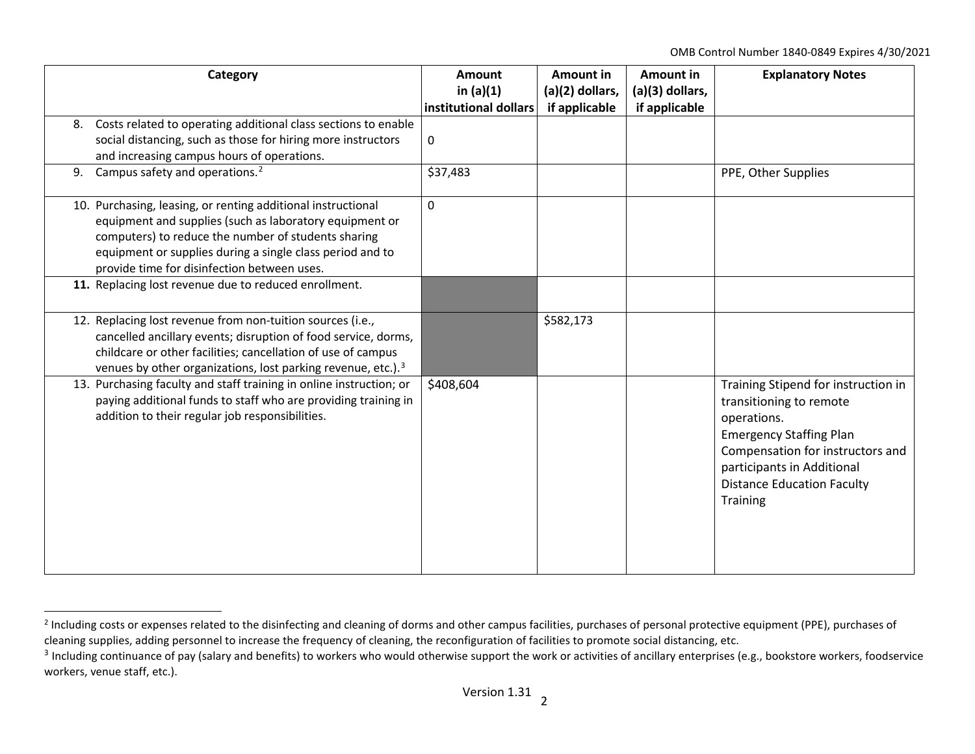<span id="page-1-1"></span><span id="page-1-0"></span>OMB Control Number 1840-0849 Expires 4/30/2021

|    | Category                                                                                                                                                                                                                                                                                   | Amount<br>in $(a)(1)$<br>institutional dollars | <b>Amount in</b><br>(a)(2) dollars,<br>if applicable | Amount in<br>(a)(3) dollars,<br>if applicable | <b>Explanatory Notes</b>                                                                                                                                                                                                           |
|----|--------------------------------------------------------------------------------------------------------------------------------------------------------------------------------------------------------------------------------------------------------------------------------------------|------------------------------------------------|------------------------------------------------------|-----------------------------------------------|------------------------------------------------------------------------------------------------------------------------------------------------------------------------------------------------------------------------------------|
| 8. | Costs related to operating additional class sections to enable<br>social distancing, such as those for hiring more instructors<br>and increasing campus hours of operations.                                                                                                               | 0                                              |                                                      |                                               |                                                                                                                                                                                                                                    |
|    | 9. Campus safety and operations. <sup>2</sup>                                                                                                                                                                                                                                              | \$37,483                                       |                                                      |                                               | PPE, Other Supplies                                                                                                                                                                                                                |
|    | 10. Purchasing, leasing, or renting additional instructional<br>equipment and supplies (such as laboratory equipment or<br>computers) to reduce the number of students sharing<br>equipment or supplies during a single class period and to<br>provide time for disinfection between uses. | $\mathbf 0$                                    |                                                      |                                               |                                                                                                                                                                                                                                    |
|    | 11. Replacing lost revenue due to reduced enrollment.                                                                                                                                                                                                                                      |                                                |                                                      |                                               |                                                                                                                                                                                                                                    |
|    | 12. Replacing lost revenue from non-tuition sources (i.e.,<br>cancelled ancillary events; disruption of food service, dorms,<br>childcare or other facilities; cancellation of use of campus<br>venues by other organizations, lost parking revenue, etc.). <sup>3</sup>                   |                                                | \$582,173                                            |                                               |                                                                                                                                                                                                                                    |
|    | 13. Purchasing faculty and staff training in online instruction; or<br>paying additional funds to staff who are providing training in<br>addition to their regular job responsibilities.                                                                                                   | \$408,604                                      |                                                      |                                               | Training Stipend for instruction in<br>transitioning to remote<br>operations.<br><b>Emergency Staffing Plan</b><br>Compensation for instructors and<br>participants in Additional<br><b>Distance Education Faculty</b><br>Training |

<sup>&</sup>lt;sup>2</sup> Including costs or expenses related to the disinfecting and cleaning of dorms and other campus facilities, purchases of personal protective equipment (PPE), purchases of cleaning supplies, adding personnel to increase the frequency of cleaning, the reconfiguration of facilities to promote social distancing, etc.

<sup>&</sup>lt;sup>3</sup> Including continuance of pay (salary and benefits) to workers who would otherwise support the work or activities of ancillary enterprises (e.g., bookstore workers, foodservice workers, venue staff, etc.).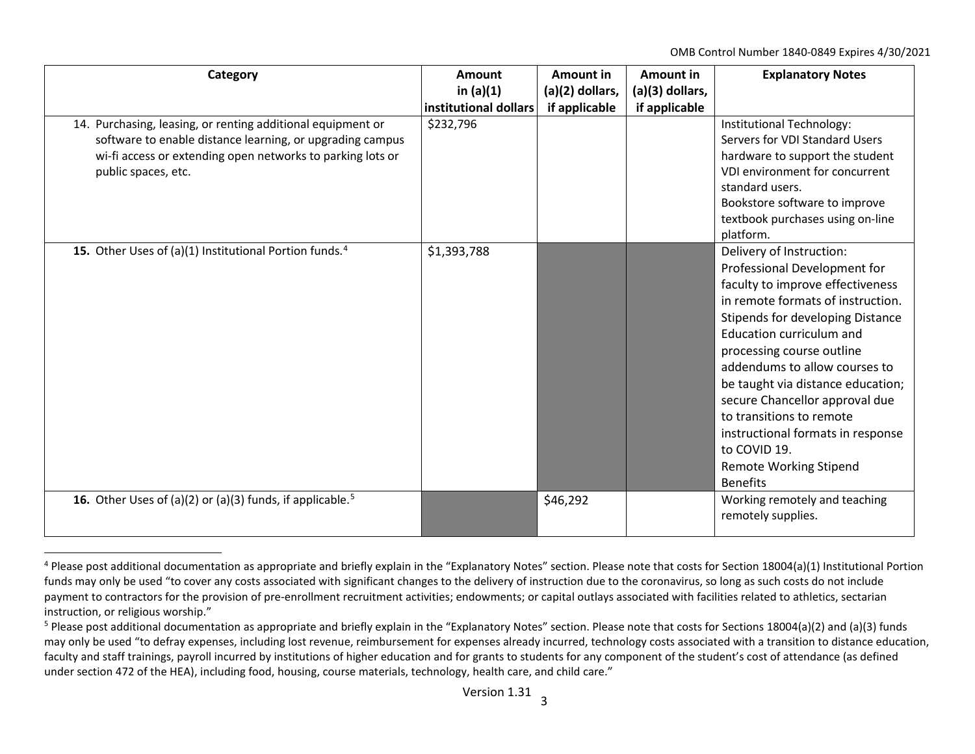<span id="page-2-1"></span><span id="page-2-0"></span>OMB Control Number 1840-0849 Expires 4/30/2021

| Category                                                                                                                                                                                                      | <b>Amount</b><br>in $(a)(1)$<br>institutional dollars | <b>Amount in</b><br>(a)(2) dollars,<br>if applicable | Amount in<br>(a)(3) dollars,<br>if applicable | <b>Explanatory Notes</b>                                                                                                                                                                                                                                                                                                                                                                                                                                                           |
|---------------------------------------------------------------------------------------------------------------------------------------------------------------------------------------------------------------|-------------------------------------------------------|------------------------------------------------------|-----------------------------------------------|------------------------------------------------------------------------------------------------------------------------------------------------------------------------------------------------------------------------------------------------------------------------------------------------------------------------------------------------------------------------------------------------------------------------------------------------------------------------------------|
| 14. Purchasing, leasing, or renting additional equipment or<br>software to enable distance learning, or upgrading campus<br>wi-fi access or extending open networks to parking lots or<br>public spaces, etc. | \$232,796                                             |                                                      |                                               | Institutional Technology:<br>Servers for VDI Standard Users<br>hardware to support the student<br>VDI environment for concurrent<br>standard users.<br>Bookstore software to improve<br>textbook purchases using on-line<br>platform.                                                                                                                                                                                                                                              |
| 15. Other Uses of (a)(1) Institutional Portion funds. <sup>4</sup>                                                                                                                                            | \$1,393,788                                           |                                                      |                                               | Delivery of Instruction:<br>Professional Development for<br>faculty to improve effectiveness<br>in remote formats of instruction.<br>Stipends for developing Distance<br><b>Education curriculum and</b><br>processing course outline<br>addendums to allow courses to<br>be taught via distance education;<br>secure Chancellor approval due<br>to transitions to remote<br>instructional formats in response<br>to COVID 19.<br><b>Remote Working Stipend</b><br><b>Benefits</b> |
| <b>16.</b> Other Uses of (a)(2) or (a)(3) funds, if applicable. <sup>5</sup>                                                                                                                                  |                                                       | \$46,292                                             |                                               | Working remotely and teaching<br>remotely supplies.                                                                                                                                                                                                                                                                                                                                                                                                                                |

<sup>&</sup>lt;sup>4</sup> Please post additional documentation as appropriate and briefly explain in the "Explanatory Notes" section. Please note that costs for Section 18004(a)(1) Institutional Portion funds may only be used "to cover any costs associated with significant changes to the delivery of instruction due to the coronavirus, so long as such costs do not include payment to contractors for the provision of pre-enrollment recruitment activities; endowments; or capital outlays associated with facilities related to athletics, sectarian instruction, or religious worship."

 $5$  Please post additional documentation as appropriate and briefly explain in the "Explanatory Notes" section. Please note that costs for Sections 18004(a)(2) and (a)(3) funds may only be used "to defray expenses, including lost revenue, reimbursement for expenses already incurred, technology costs associated with a transition to distance education, faculty and staff trainings, payroll incurred by institutions of higher education and for grants to students for any component of the student's cost of attendance (as defined under section 472 of the HEA), including food, housing, course materials, technology, health care, and child care."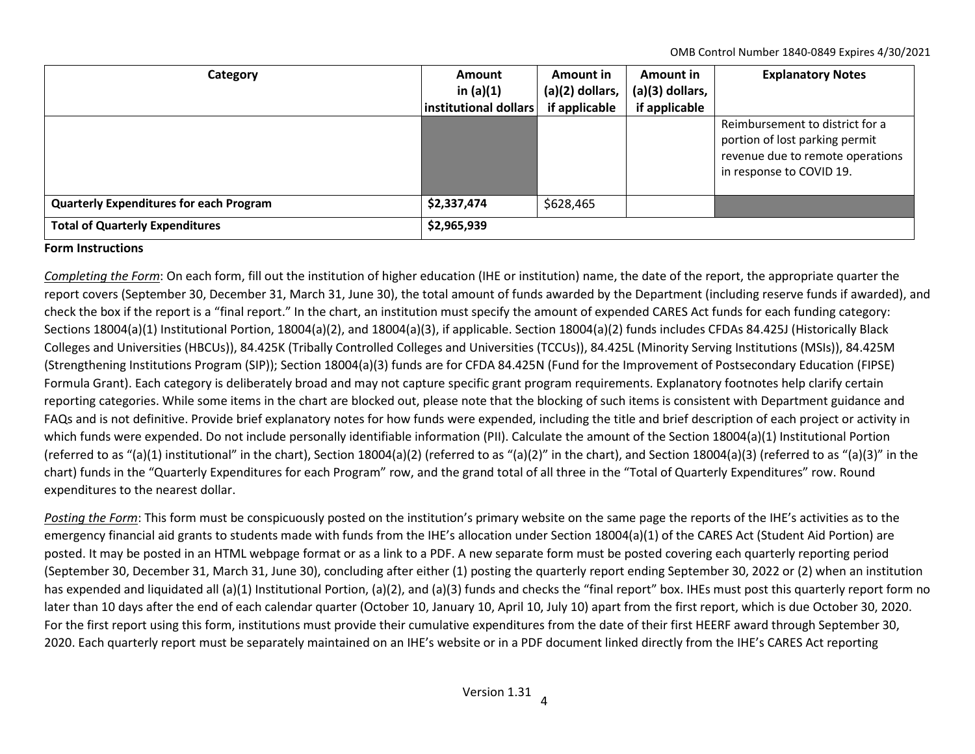OMB Control Number 1840-0849 Expires 4/30/2021

| Category                                              | Amount<br>in $(a)(1)$<br>institutional dollars | Amount in<br>$(a)(2)$ dollars,<br>if applicable | Amount in<br>$(a)(3)$ dollars,<br>if applicable | <b>Explanatory Notes</b>                                                                                                          |
|-------------------------------------------------------|------------------------------------------------|-------------------------------------------------|-------------------------------------------------|-----------------------------------------------------------------------------------------------------------------------------------|
|                                                       |                                                |                                                 |                                                 | Reimbursement to district for a<br>portion of lost parking permit<br>revenue due to remote operations<br>in response to COVID 19. |
| <b>Quarterly Expenditures for each Program</b>        | \$2,337,474                                    | \$628,465                                       |                                                 |                                                                                                                                   |
| <b>Total of Quarterly Expenditures</b><br>\$2,965,939 |                                                |                                                 |                                                 |                                                                                                                                   |

## **Form Instructions**

*Completing the Form*: On each form, fill out the institution of higher education (IHE or institution) name, the date of the report, the appropriate quarter the report covers (September 30, December 31, March 31, June 30), the total amount of funds awarded by the Department (including reserve funds if awarded), and check the box if the report is a "final report." In the chart, an institution must specify the amount of expended CARES Act funds for each funding category: Sections 18004(a)(1) Institutional Portion, 18004(a)(2), and 18004(a)(3), if applicable. Section 18004(a)(2) funds includes CFDAs 84.425J (Historically Black Colleges and Universities (HBCUs)), 84.425K (Tribally Controlled Colleges and Universities (TCCUs)), 84.425L (Minority Serving Institutions (MSIs)), 84.425M (Strengthening Institutions Program (SIP)); Section 18004(a)(3) funds are for CFDA 84.425N (Fund for the Improvement of Postsecondary Education (FIPSE) Formula Grant). Each category is deliberately broad and may not capture specific grant program requirements. Explanatory footnotes help clarify certain reporting categories. While some items in the chart are blocked out, please note that the blocking of such items is consistent with Department guidance and FAQs and is not definitive. Provide brief explanatory notes for how funds were expended, including the title and brief description of each project or activity in which funds were expended. Do not include personally identifiable information (PII). Calculate the amount of the Section 18004(a)(1) Institutional Portion (referred to as "(a)(1) institutional" in the chart), Section 18004(a)(2) (referred to as "(a)(2)" in the chart), and Section 18004(a)(3) (referred to as "(a)(3)" in the chart) funds in the "Quarterly Expenditures for each Program" row, and the grand total of all three in the "Total of Quarterly Expenditures" row. Round expenditures to the nearest dollar.

*Posting the Form*: This form must be conspicuously posted on the institution's primary website on the same page the reports of the IHE's activities as to the emergency financial aid grants to students made with funds from the IHE's allocation under Section 18004(a)(1) of the CARES Act (Student Aid Portion) are posted. It may be posted in an HTML webpage format or as a link to a PDF. A new separate form must be posted covering each quarterly reporting period (September 30, December 31, March 31, June 30), concluding after either (1) posting the quarterly report ending September 30, 2022 or (2) when an institution has expended and liquidated all (a)(1) Institutional Portion, (a)(2), and (a)(3) funds and checks the "final report" box. IHEs must post this quarterly report form no later than 10 days after the end of each calendar quarter (October 10, January 10, April 10, July 10) apart from the first report, which is due October 30, 2020. For the first report using this form, institutions must provide their cumulative expenditures from the date of their first HEERF award through September 30, 2020. Each quarterly report must be separately maintained on an IHE's website or in a PDF document linked directly from the IHE's CARES Act reporting